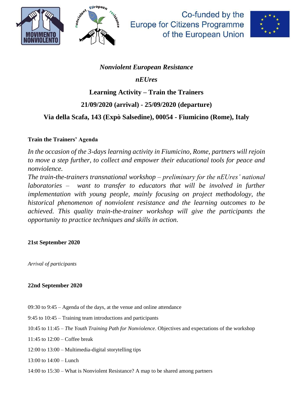



Co-funded by the **Europe for Citizens Programme** of the European Union



## *Nonviolent European Resistance*

*nEUres*

## **Learning Activity – Train the Trainers**

# **21/09/2020 (arrival) - 25/09/2020 (departure)**

## **Via della Scafa, 143 (Expò Salsedine), 00054 - Fiumicino (Rome), Italy**

#### **Train the Trainers' Agenda**

*In the occasion of the 3-days learning activity in Fiumicino, Rome, partners will rejoin to move a step further, to collect and empower their educational tools for peace and nonviolence.*

*The train-the-trainers transnational workshop – preliminary for the nEUres' national laboratories – want to transfer to educators that will be involved in further implementation with young people, mainly focusing on project methodology, the historical phenomenon of nonviolent resistance and the learning outcomes to be achieved. This quality train-the-trainer workshop will give the participants the opportunity to practice techniques and skills in action.*

#### **21st September 2020**

*Arrival of participants*

### **22nd September 2020**

- 09:30 to 9:45 Agenda of the days, at the venue and online attendance
- 9:45 to 10:45 Training team introductions and participants
- 10:45 to 11:45 *The Youth Training Path for Nonviolence*. Objectives and expectations of the workshop
- 11:45 to 12:00 Coffee break
- 12:00 to 13:00 Multimedia-digital storytelling tips
- 13:00 to 14:00 Lunch
- 14:00 to 15:30 What is Nonviolent Resistance? A map to be shared among partners